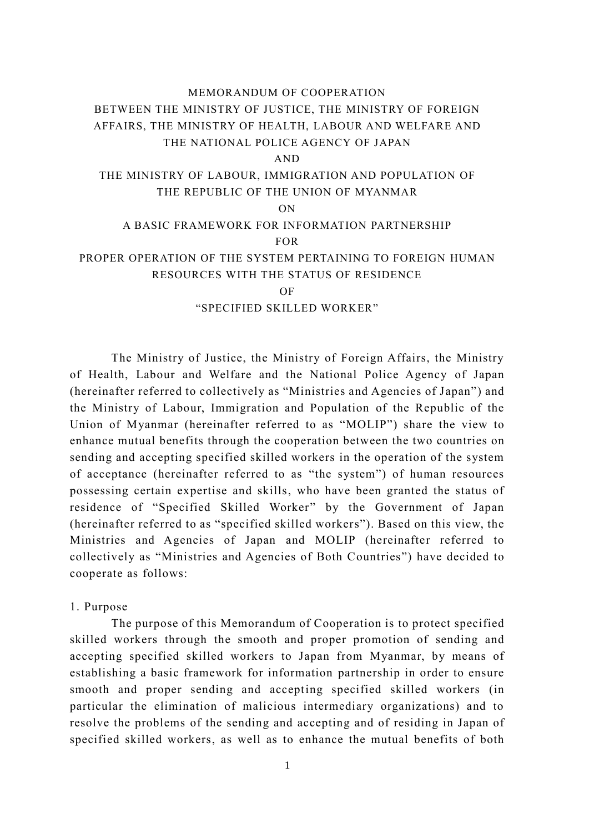# MEMORANDUM OF COOPERATION BETWEEN THE MINISTRY OF JUSTICE, THE MINISTRY OF FOREIGN AFFAIRS, THE MINISTRY OF HEALTH, LABOUR AND WELFARE AND THE NATIONAL POLICE AGENCY OF JAPAN AND THE MINISTRY OF LABOUR, IMMIGRATION AND POPULATION OF THE REPUBLIC OF THE UNION OF MYANMAR ON A BASIC FRAMEWORK FOR INFORMATION PARTNERSHIP FOR PROPER OPERATION OF THE SYSTEM PERTAINING TO FOREIGN HUMAN RESOURCES WITH THE STATUS OF RESIDENCE OF "SPECIFIED SKILLED WORKER"

The Ministry of Justice, the Ministry of Foreign Affairs, the Ministry of Health, Labour and Welfare and the National Police Agency of Japan (hereinafter referred to collectively as "Ministries and Agencies of Japan") and the Ministry of Labour, Immigration and Population of the Republic of the Union of Myanmar (hereinafter referred to as "MOLIP") share the view to enhance mutual benefits through the cooperation between the two countries on sending and accepting specified skilled workers in the operation of the system of acceptance (hereinafter referred to as "the system") of human resources possessing certain expertise and skills, who have been granted the status of residence of "Specified Skilled Worker" by the Government of Japan (hereinafter referred to as "specified skilled workers"). Based on this view, the Ministries and Agencies of Japan and MOLIP (hereinafter referred to collectively as "Ministries and Agencies of Both Countries") have decided to cooperate as follows:

## 1. Purpose

The purpose of this Memorandum of Cooperation is to protect specified skilled workers through the smooth and proper promotion of sending and accepting specified skilled workers to Japan from Myanmar, by means of establishing a basic framework for information partnership in order to ensure smooth and proper sending and accepting specified skilled workers (in particular the elimination of malicious intermediary organizations) and to resolve the problems of the sending and accepting and of residing in Japan of specified skilled workers, as well as to enhance the mutual benefits of both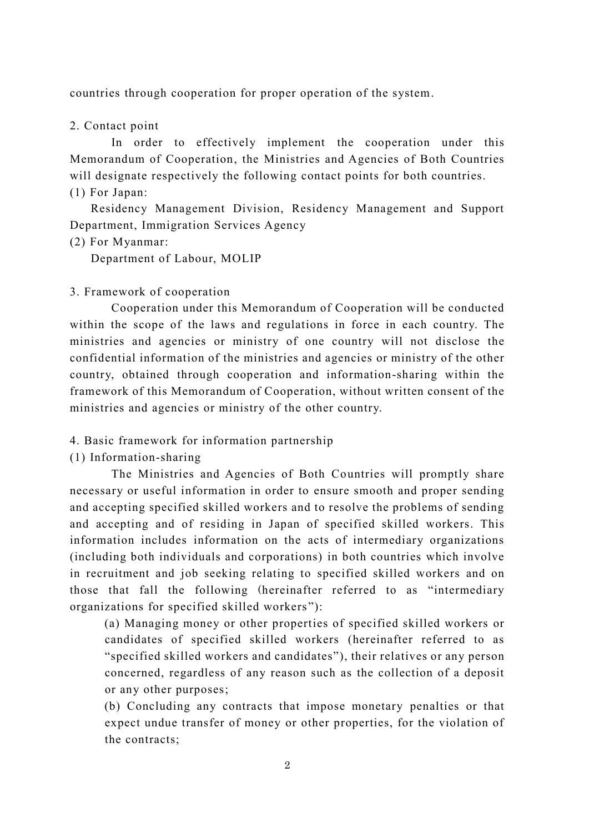countries through cooperation for proper operation of the system.

## 2. Contact point

In order to effectively implement the cooperation under this Memorandum of Cooperation, the Ministries and Agencies of Both Countries will designate respectively the following contact points for both countries. (1) For Japan:

Residency Management Division, Residency Management and Support Department, Immigration Services Agency

(2) For Myanmar:

Department of Labour, MOLIP

### 3. Framework of cooperation

Cooperation under this Memorandum of Cooperation will be conducted within the scope of the laws and regulations in force in each country. The ministries and agencies or ministry of one country will not disclose the confidential information of the ministries and agencies or ministry of the other country, obtained through cooperation and information-sharing within the framework of this Memorandum of Cooperation, without written consent of the ministries and agencies or ministry of the other country.

## 4. Basic framework for information partnership

#### (1) Information-sharing

The Ministries and Agencies of Both Countries will promptly share necessary or useful information in order to ensure smooth and proper sending and accepting specified skilled workers and to resolve the problems of sending and accepting and of residing in Japan of specified skilled workers. This information includes information on the acts of intermediary organizations (including both individuals and corporations) in both countries which involve in recruitment and job seeking relating to specified skilled workers and on those that fall the following (hereinafter referred to as "intermediary organizations for specified skilled workers "):

(a) Managing money or other properties of specified skilled workers or candidates of specified skilled workers (hereinafter referred to as "specified skilled workers and candidates"), their relatives or any person concerned, regardless of any reason such as the collection of a deposit or any other purposes;

(b) Concluding any contracts that impose monetary penalties or that expect undue transfer of money or other properties, for the violation of the contracts;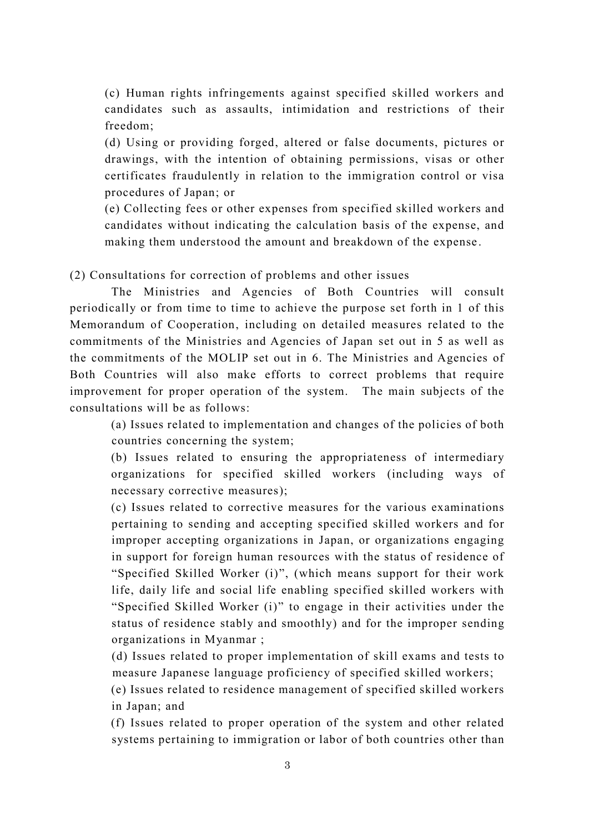(c) Human rights infringements against specified skilled workers and candidates such as assaults, intimidation and restrictions of their freedom;

(d) Using or providing forged, altered or false documents, pictures or drawings, with the intention of obtaining permissions, visas or other certificates fraudulently in relation to the immigration control or visa procedures of Japan; or

(e) Collecting fees or other expenses from specified skilled workers and candidates without indicating the calculation basis of the expense, and making them understood the amount and breakdown of the expense .

(2) Consultations for correction of problems and other issues

The Ministries and Agencies of Both Countries will consult periodically or from time to time to achieve the purpose set forth in 1 of this Memorandum of Cooperation, including on detailed measures related to the commitments of the Ministries and Agencies of Japan set out in 5 as well as the commitments of the MOLIP set out in 6. The Ministries and Agencies of Both Countries will also make efforts to correct problems that require improvement for proper operation of the system. The main subjects of the consultations will be as follows:

(a) Issues related to implementation and changes of the policies of both countries concerning the system;

(b) Issues related to ensuring the appropriateness of intermediary organizations for specified skilled workers (including ways of necessary corrective measures);

(c) Issues related to corrective measures for the various examinations pertaining to sending and accepting specified skilled workers and for improper accepting organizations in Japan, or organizations engaging in support for foreign human resources with the status of residence of "Specified Skilled Worker (i)", (which means support for their work life, daily life and social life enabling specified skilled workers with "Specified Skilled Worker (i)" to engage in their activities under the status of residence stably and smoothly) and for the improper sending organizations in Myanmar ;

(d) Issues related to proper implementation of skill exams and tests to measure Japanese language proficiency of specified skilled workers;

(e) Issues related to residence management of specified skilled workers in Japan; and

(f) Issues related to proper operation of the system and other related systems pertaining to immigration or labor of both countries other than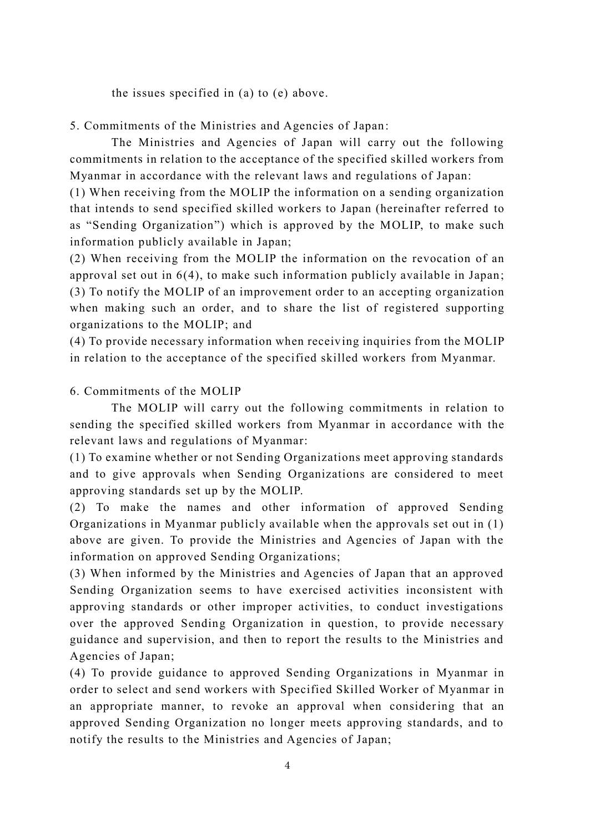the issues specified in (a) to (e) above.

5. Commitments of the Ministries and Agencies of Japan:

The Ministries and Agencies of Japan will carry out the following commitments in relation to the acceptance of the specified skilled workers from Myanmar in accordance with the relevant laws and regulations of Japan:

(1) When receiving from the MOLIP the information on a sending organization that intends to send specified skilled workers to Japan (hereinafter referred to as "Sending Organization") which is approved by the MOLIP, to make such information publicly available in Japan;

(2) When receiving from the MOLIP the information on the revocation of an approval set out in 6(4), to make such information publicly available in Japan ; (3) To notify the MOLIP of an improvement order to an accepting organization when making such an order, and to share the list of registered supporting organizations to the MOLIP; and

(4) To provide necessary information when receiving inquiries from the MOLIP in relation to the acceptance of the specified skilled workers from Myanmar.

# 6. Commitments of the MOLIP

The MOLIP will carry out the following commitments in relation to sending the specified skilled workers from Myanmar in accordance with the relevant laws and regulations of Myanmar:

(1) To examine whether or not Sending Organizations meet approving standards and to give approvals when Sending Organizations are considered to meet approving standards set up by the MOLIP.

(2) To make the names and other information of approved Sending Organizations in Myanmar publicly available when the approvals set out in (1) above are given. To provide the Ministries and Agencies of Japan with the information on approved Sending Organizations;

(3) When informed by the Ministries and Agencies of Japan that an approved Sending Organization seems to have exercised activities inconsistent with approving standards or other improper activities, to conduct investigations over the approved Sending Organization in question, to provide necessary guidance and supervision, and then to report the results to the Ministries and Agencies of Japan;

(4) To provide guidance to approved Sending Organizations in Myanmar in order to select and send workers with Specified Skilled Worker of Myanmar in an appropriate manner, to revoke an approval when considering that an approved Sending Organization no longer meets approving standards, and to notify the results to the Ministries and Agencies of Japan;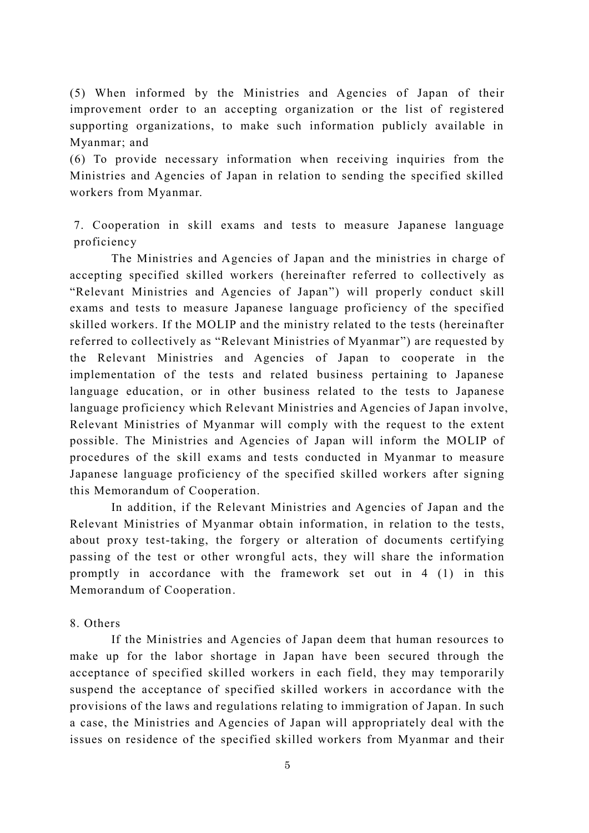(5) When informed by the Ministries and Agencies of Japan of their improvement order to an accepting organization or the list of registered supporting organizations, to make such information publicly available in Myanmar; and

(6) To provide necessary information when receiving inquiries from the Ministries and Agencies of Japan in relation to sending the specified skilled workers from Myanmar.

7. Cooperation in skill exams and tests to measure Japanese language proficiency

The Ministries and Agencies of Japan and the ministries in charge of accepting specified skilled workers (hereinafter referred to collectively as "Relevant Ministries and Agencies of Japan") will properly conduct skill exams and tests to measure Japanese language proficiency of the specified skilled workers. If the MOLIP and the ministry related to the tests (hereinafter referred to collectively as "Relevant Ministries of Myanmar") are requested by the Relevant Ministries and Agencies of Japan to cooperate in the implementation of the tests and related business pertaining to Japanese language education, or in other business related to the tests to Japanese language proficiency which Relevant Ministries and Agencies of Japan involve, Relevant Ministries of Myanmar will comply with the request to the extent possible. The Ministries and Agencies of Japan will inform the MOLIP of procedures of the skill exams and tests conducted in Myanmar to measure Japanese language proficiency of the specified skilled workers after signing this Memorandum of Cooperation.

In addition, if the Relevant Ministries and Agencies of Japan and the Relevant Ministries of Myanmar obtain information, in relation to the tests, about proxy test-taking, the forgery or alteration of documents certifying passing of the test or other wrongful acts, they will share the information promptly in accordance with the framework set out in 4 (1) in this Memorandum of Cooperation.

## 8. Others

If the Ministries and Agencies of Japan deem that human resources to make up for the labor shortage in Japan have been secured through the acceptance of specified skilled workers in each field, they may temporarily suspend the acceptance of specified skilled workers in accordance with the provisions of the laws and regulations relating to immigration of Japan. In such a case, the Ministries and Agencies of Japan will appropriately deal with the issues on residence of the specified skilled workers from Myanmar and their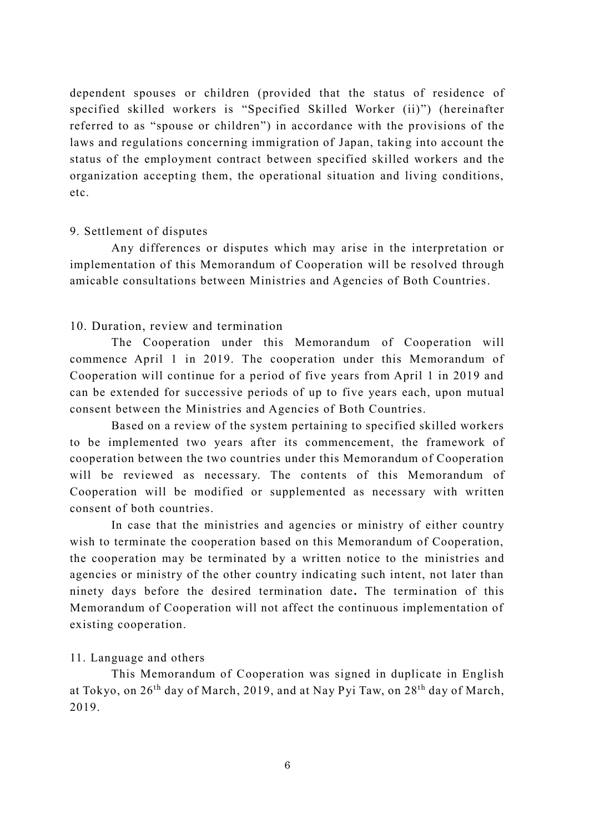dependent spouses or children (provided that the status of residence of specified skilled workers is "Specified Skilled Worker (ii)") (hereinafter referred to as "spouse or children") in accordance with the provisions of the laws and regulations concerning immigration of Japan, taking into account the status of the employment contract between specified skilled workers and the organization accepting them, the operational situation and living conditions, etc.

## 9. Settlement of disputes

Any differences or disputes which may arise in the interpretation or implementation of this Memorandum of Cooperation will be resolved through amicable consultations between Ministries and Agencies of Both Countries.

## 10. Duration, review and termination

The Cooperation under this Memorandum of Cooperation will commence April 1 in 2019. The cooperation under this Memorandum of Cooperation will continue for a period of five years from April 1 in 2019 and can be extended for successive periods of up to five years each, upon mutual consent between the Ministries and Agencies of Both Countries.

Based on a review of the system pertaining to specified skilled workers to be implemented two years after its commencement, the framework of cooperation between the two countries under this Memorandum of Cooperation will be reviewed as necessary. The contents of this Memorandum of Cooperation will be modified or supplemented as necessary with written consent of both countries.

In case that the ministries and agencies or ministry of either country wish to terminate the cooperation based on this Memorandum of Cooperation, the cooperation may be terminated by a written notice to the ministries and agencies or ministry of the other country indicating such intent, not later than ninety days before the desired termination date**.** The termination of this Memorandum of Cooperation will not affect the continuous implementation of existing cooperation.

## 11. Language and others

This Memorandum of Cooperation was signed in duplicate in English at Tokyo, on 26<sup>th</sup> day of March, 2019, and at Nay Pyi Taw, on 28<sup>th</sup> day of March, 2019.